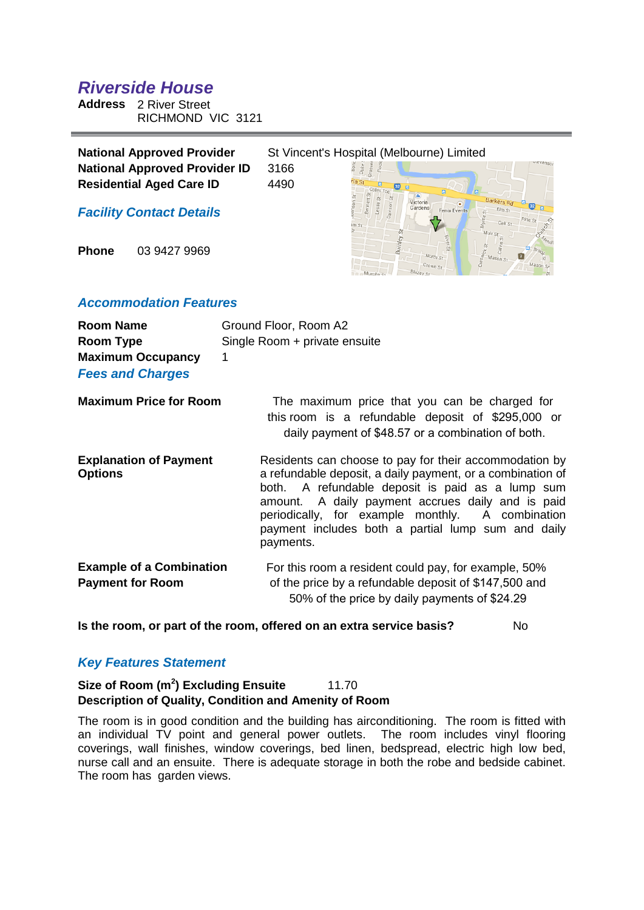# *Riverside House*

**Address** 2 River Street RICHMOND VIC 3121

| <b>National Approved Provider</b>    | St Vincent's Hospital (Melbourne) Limited |                     |                     |  |
|--------------------------------------|-------------------------------------------|---------------------|---------------------|--|
| <b>National Approved Provider ID</b> | 3166                                      |                     |                     |  |
| <b>Residential Aged Care ID</b>      | 4490                                      |                     |                     |  |
| <b>Facility Contact Details</b>      |                                           | Victoria<br>Gardens | <b>Fenix Events</b> |  |

**Phone** 03 9427 9969

# *Accommodation Features*

| <b>Room Name</b><br>Room Type<br><b>Maximum Occupancy</b><br><b>Fees and Charges</b> | Ground Floor, Room A2<br>Single Room + private ensuite<br>1                                                                                                                                                                                                                                                                                             |
|--------------------------------------------------------------------------------------|---------------------------------------------------------------------------------------------------------------------------------------------------------------------------------------------------------------------------------------------------------------------------------------------------------------------------------------------------------|
| <b>Maximum Price for Room</b>                                                        | The maximum price that you can be charged for<br>this room is a refundable deposit of \$295,000 or<br>daily payment of \$48.57 or a combination of both.                                                                                                                                                                                                |
| <b>Explanation of Payment</b><br><b>Options</b>                                      | Residents can choose to pay for their accommodation by<br>a refundable deposit, a daily payment, or a combination of<br>both. A refundable deposit is paid as a lump sum<br>amount. A daily payment accrues daily and is paid<br>periodically, for example monthly.<br>A combination<br>payment includes both a partial lump sum and daily<br>payments. |
| <b>Example of a Combination</b><br><b>Payment for Room</b>                           | For this room a resident could pay, for example, 50%<br>of the price by a refundable deposit of \$147,500 and<br>50% of the price by daily payments of \$24.29                                                                                                                                                                                          |

**Is the room, or part of the room, offered on an extra service basis?** No

# *Key Features Statement*

## **Size of Room (m<sup>2</sup>) Excluding Ensuite** 11.70 **Description of Quality, Condition and Amenity of Room**

The room is in good condition and the building has airconditioning. The room is fitted with an individual TV point and general power outlets. The room includes vinyl flooring coverings, wall finishes, window coverings, bed linen, bedspread, electric high low bed, nurse call and an ensuite. There is adequate storage in both the robe and bedside cabinet. The room has garden views.